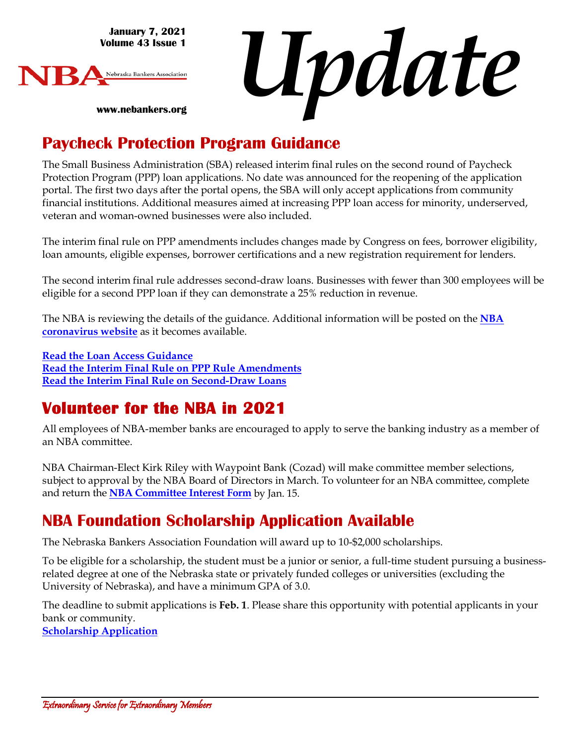**January 7, 2021 Volume 43 Issue 1**

**www.nebankers.org**



*Update*

### **Paycheck Protection Program Guidance**

The Small Business Administration (SBA) released interim final rules on the second round of Paycheck Protection Program (PPP) loan applications. No date was announced for the reopening of the application portal. The first two days after the portal opens, the SBA will only accept applications from community financial institutions. Additional measures aimed at increasing PPP loan access for minority, underserved, veteran and woman-owned businesses were also included.

The interim final rule on PPP amendments includes changes made by Congress on fees, borrower eligibility, loan amounts, eligible expenses, borrower certifications and a new registration requirement for lenders.

The second interim final rule addresses second-draw loans. Businesses with fewer than 300 employees will be eligible for a second PPP loan if they can demonstrate a 25% reduction in revenue.

The NBA is reviewing the details of the guidance. Additional information will be posted on the **[NBA](https://www.nebankers.org/covid-19-coronavirus.html)  [coronavirus website](https://www.nebankers.org/covid-19-coronavirus.html)** as it becomes available.

**[Read the Loan Access Guidance](https://www.sba.gov/sites/default/files/2021-01/Guidance%20on%20Accessing%20Capital%20for%20Minority%20Underserved%20Veteran%20and%20Women%20Owned%20Business%20Concerns%20.pdf) [Read the Interim Final Rule on PPP Rule Amendments](https://www.sba.gov/sites/default/files/2021-01/PPP%20--%20IFR%20--%20Paycheck%20Protection%20Program%20as%20Amended%20by%20Economic%20Aid%20Act%20%281.6.2021%29.pdf) [Read the Interim Final Rule on Second-Draw Loans](https://www.sba.gov/sites/default/files/2021-01/PPP%20--%20IFR%20--%20Second%20Draw%20Loans%20(1.6.2021).pdf)**

# **Volunteer for the NBA in 2021**

All employees of NBA-member banks are encouraged to apply to serve the banking industry as a member of an NBA committee.

NBA Chairman-Elect Kirk Riley with Waypoint Bank (Cozad) will make committee member selections, subject to approval by the NBA Board of Directors in March. To volunteer for an NBA committee, complete and return the **[NBA Committee Interest Form](https://www.nebankers.org/uploads/8/1/6/4/81640974/2021-committee-interest-form-fax.pdf)** by Jan. 15.

### **NBA Foundation Scholarship Application Available**

The Nebraska Bankers Association Foundation will award up to 10-\$2,000 scholarships.

To be eligible for a scholarship, the student must be a junior or senior, a full-time student pursuing a businessrelated degree at one of the Nebraska state or privately funded colleges or universities (excluding the University of Nebraska), and have a minimum GPA of 3.0.

The deadline to submit applications is **Feb. 1**. Please share this opportunity with potential applicants in your bank or community. **[Scholarship Application](https://www.nebankers.org/foundation-scholarship-app.html)**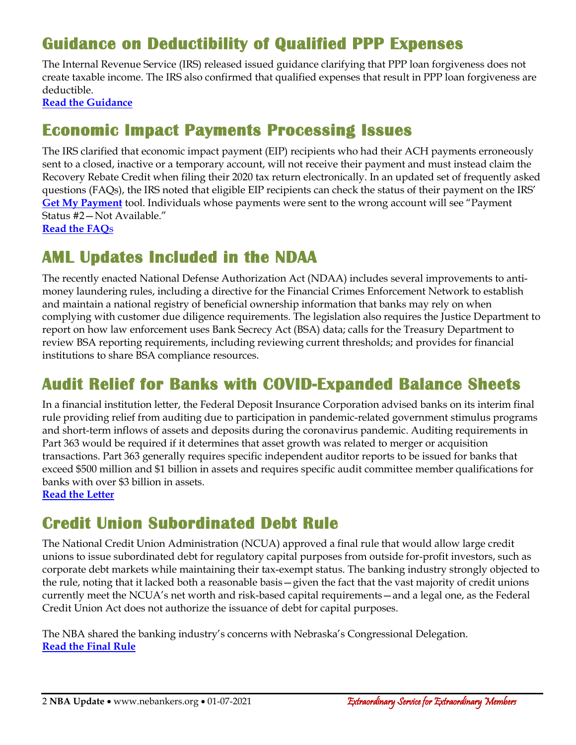# **Guidance on Deductibility of Qualified PPP Expenses**

The Internal Revenue Service (IRS) released issued guidance clarifying that PPP loan forgiveness does not create taxable income. The IRS also confirmed that qualified expenses that result in PPP loan forgiveness are deductible.

**[Read the Guidance](https://www.irs.gov/newsroom/eligible-paycheck-protection-program-expenses-now-deductible)** 

#### **Economic Impact Payments Processing Issues**

The IRS clarified that economic impact payment (EIP) recipients who had their ACH payments erroneously sent to a closed, inactive or a temporary account, will not receive their payment and must instead claim the Recovery Rebate Credit when filing their 2020 tax return electronically. In an updated set of frequently asked questions (FAQs), the IRS noted that eligible EIP recipients can check the status of their payment on the IRS' **[Get My Payment](https://www.irs.gov/coronavirus/get-my-payment)** tool. Individuals whose payments were sent to the wrong account will see "Payment Status #2—Not Available."

**[Read the FAQ](https://www.irs.gov/newsroom/irs-statement-about-second-economic-impact-payments)**[s](https://www.irs.gov/newsroom/irs-statement-about-second-economic-impact-payments)

### **AML Updates Included in the NDAA**

The recently enacted National Defense Authorization Act (NDAA) includes several improvements to antimoney laundering rules, including a directive for the Financial Crimes Enforcement Network to establish and maintain a national registry of beneficial ownership information that banks may rely on when complying with customer due diligence requirements. The legislation also requires the Justice Department to report on how law enforcement uses Bank Secrecy Act (BSA) data; calls for the Treasury Department to review BSA reporting requirements, including reviewing current thresholds; and provides for financial institutions to share BSA compliance resources.

# **Audit Relief for Banks with COVID-Expanded Balance Sheets**

In a financial institution letter, the Federal Deposit Insurance Corporation advised banks on its interim final rule providing relief from auditing due to participation in pandemic-related government stimulus programs and short-term inflows of assets and deposits during the coronavirus pandemic. Auditing requirements in Part 363 would be required if it determines that asset growth was related to merger or acquisition transactions. Part 363 generally requires specific independent auditor reports to be issued for banks that exceed \$500 million and \$1 billion in assets and requires specific audit committee member qualifications for banks with over \$3 billion in assets.

**[Read the Letter](https://www.fdic.gov/news/financial-institution-letters/2020/fil20116.html)**

# **Credit Union Subordinated Debt Rule**

The National Credit Union Administration (NCUA) approved a final rule that would allow large credit unions to issue subordinated debt for regulatory capital purposes from outside for-profit investors, such as corporate debt markets while maintaining their tax-exempt status. The banking industry strongly objected to the rule, noting that it lacked both a reasonable basis—given the fact that the vast majority of credit unions currently meet the NCUA's net worth and risk-based capital requirements—and a legal one, as the Federal Credit Union Act does not authorize the issuance of debt for capital purposes.

The NBA shared the banking industry's concerns with Nebraska's Congressional Delegation. **[Read the Final Rule](https://www.ncua.gov/files/agenda-items/AG20201217Item5b.pdf)**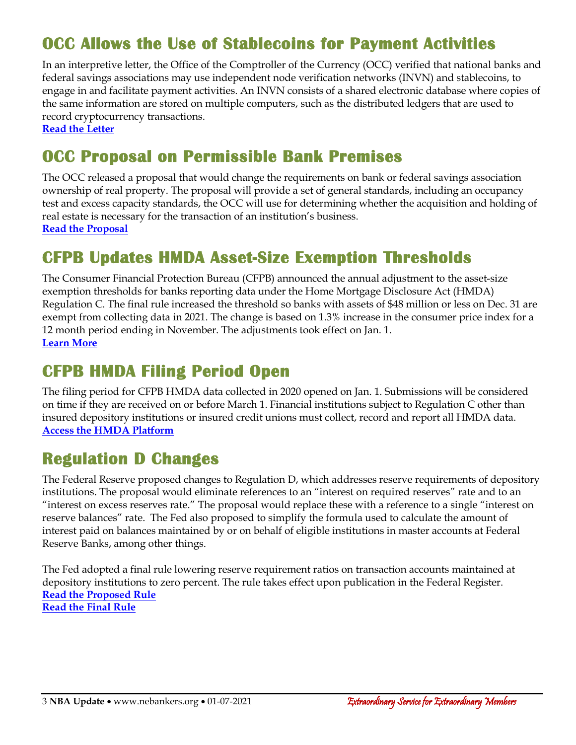# **OCC Allows the Use of Stablecoins for Payment Activities**

In an interpretive letter, the Office of the Comptroller of the Currency (OCC) verified that national banks and federal savings associations may use independent node verification networks (INVN) and stablecoins, to engage in and facilitate payment activities. An INVN consists of a shared electronic database where copies of the same information are stored on multiple computers, such as the distributed ledgers that are used to record cryptocurrency transactions.

**[Read the Letter](https://www2.occ.gov/news-issuances/news-releases/2021/nr-occ-2021-2a.pdf)**

## **OCC Proposal on Permissible Bank Premises**

The OCC released a proposal that would change the requirements on bank or federal savings association ownership of real property. The proposal will provide a set of general standards, including an occupancy test and excess capacity standards, the OCC will use for determining whether the acquisition and holding of real estate is necessary for the transaction of an institution's business. **[Read the Proposal](https://www.occ.gov/news-issuances/federal-register/2021/nr-occ-2021-1a.pdf)**

### **CFPB Updates HMDA Asset-Size Exemption Thresholds**

The Consumer Financial Protection Bureau (CFPB) announced the annual adjustment to the asset-size exemption thresholds for banks reporting data under the Home Mortgage Disclosure Act (HMDA) Regulation C. The final rule increased the threshold so banks with assets of \$48 million or less on Dec. 31 are exempt from collecting data in 2021. The change is based on 1.3% increase in the consumer price index for a 12 month period ending in November. The adjustments took effect on Jan. 1. **[Learn More](https://www.federalregister.gov/documents/2020/12/22/2020-28230/home-mortgage-disclosure-regulation-c-adjustment-to-asset-size-exemption-threshold)**

#### **CFPB HMDA Filing Period Open**

The filing period for CFPB HMDA data collected in 2020 opened on Jan. 1. Submissions will be considered on time if they are received on or before March 1. Financial institutions subject to Regulation C other than insured depository institutions or insured credit unions must collect, record and report all HMDA data. **[Access the HMDA Platform](https://ffiec.cfpb.gov/filing/2020/)**

### **Regulation D Changes**

The Federal Reserve proposed changes to Regulation D, which addresses reserve requirements of depository institutions. The proposal would eliminate references to an "interest on required reserves" rate and to an "interest on excess reserves rate." The proposal would replace these with a reference to a single "interest on reserve balances" rate. The Fed also proposed to simplify the formula used to calculate the amount of interest paid on balances maintained by or on behalf of eligible institutions in master accounts at Federal Reserve Banks, among other things.

The Fed adopted a final rule lowering reserve requirement ratios on transaction accounts maintained at depository institutions to zero percent. The rule takes effect upon publication in the Federal Register. **[Read the Proposed Rule](https://www.federalreserve.gov/newsevents/pressreleases/files/monetary20201222a2.pdf) [Read the Final Rule](https://www.federalreserve.gov/newsevents/pressreleases/files/monetary20201222a1.pdf)**